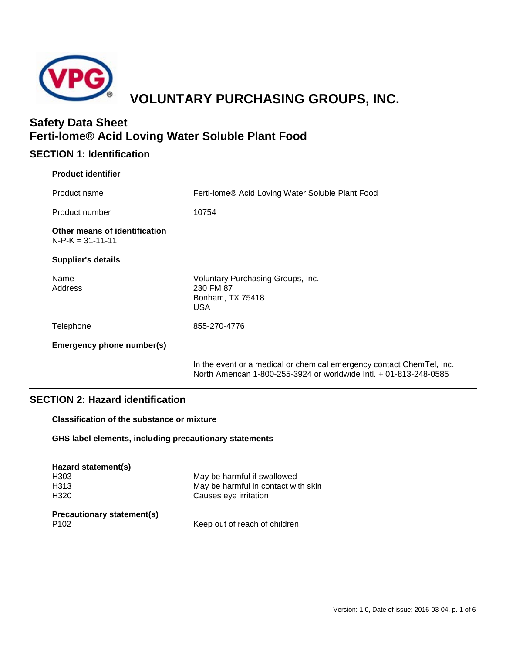

# **VOLUNTARY PURCHASING GROUPS, INC.**

# **Safety Data Sheet Ferti-lome® Acid Loving Water Soluble Plant Food**

# **SECTION 1: Identification**

| <b>Product identifier</b>                           |                                                                                                                                             |
|-----------------------------------------------------|---------------------------------------------------------------------------------------------------------------------------------------------|
| Product name                                        | Ferti-lome® Acid Loving Water Soluble Plant Food                                                                                            |
| Product number                                      | 10754                                                                                                                                       |
| Other means of identification<br>$N-P-K = 31-11-11$ |                                                                                                                                             |
| <b>Supplier's details</b>                           |                                                                                                                                             |
| Name<br>Address                                     | Voluntary Purchasing Groups, Inc.<br>230 FM 87<br>Bonham, TX 75418<br><b>USA</b>                                                            |
| Telephone                                           | 855-270-4776                                                                                                                                |
| <b>Emergency phone number(s)</b>                    |                                                                                                                                             |
|                                                     | In the event or a medical or chemical emergency contact ChemTel, Inc.<br>North American 1-800-255-3924 or worldwide Intl. + 01-813-248-0585 |

# **SECTION 2: Hazard identification**

**Classification of the substance or mixture**

**GHS label elements, including precautionary statements**

| Hazard statement(s)        |                                     |
|----------------------------|-------------------------------------|
| H <sub>303</sub>           | May be harmful if swallowed         |
| H <sub>3</sub> 13          | May be harmful in contact with skin |
| H <sub>320</sub>           | Causes eye irritation               |
| Precautionary statement(s) |                                     |
| P <sub>102</sub>           | Keep out of reach of children.      |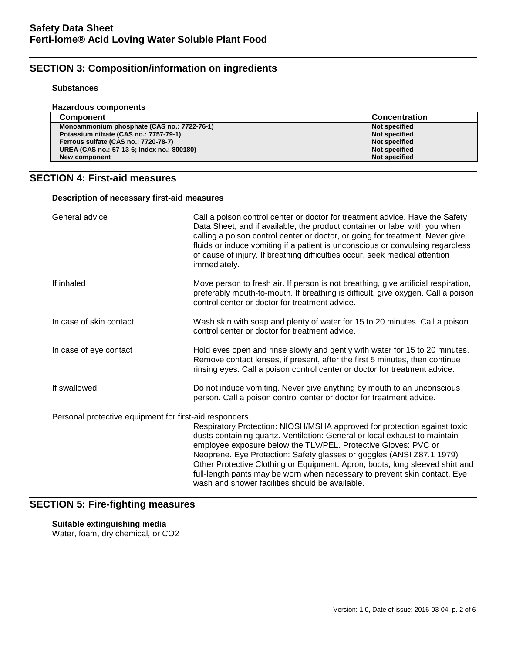# **SECTION 3: Composition/information on ingredients**

### **Substances**

| Hazardous components                        |                      |
|---------------------------------------------|----------------------|
| <b>Component</b>                            | <b>Concentration</b> |
| Monoammonium phosphate (CAS no.: 7722-76-1) | <b>Not specified</b> |
| Potassium nitrate (CAS no.: 7757-79-1)      | Not specified        |
| Ferrous sulfate (CAS no.: 7720-78-7)        | Not specified        |
| UREA (CAS no.: 57-13-6; Index no.: 800180)  | Not specified        |
| New component                               | <b>Not specified</b> |

# **SECTION 4: First-aid measures**

**Description of necessary first-aid measures**

| General advice                                         | Call a poison control center or doctor for treatment advice. Have the Safety<br>Data Sheet, and if available, the product container or label with you when<br>calling a poison control center or doctor, or going for treatment. Never give<br>fluids or induce vomiting if a patient is unconscious or convulsing regardless<br>of cause of injury. If breathing difficulties occur, seek medical attention<br>immediately.                                                                                      |
|--------------------------------------------------------|-------------------------------------------------------------------------------------------------------------------------------------------------------------------------------------------------------------------------------------------------------------------------------------------------------------------------------------------------------------------------------------------------------------------------------------------------------------------------------------------------------------------|
| If inhaled                                             | Move person to fresh air. If person is not breathing, give artificial respiration,<br>preferably mouth-to-mouth. If breathing is difficult, give oxygen. Call a poison<br>control center or doctor for treatment advice.                                                                                                                                                                                                                                                                                          |
| In case of skin contact                                | Wash skin with soap and plenty of water for 15 to 20 minutes. Call a poison<br>control center or doctor for treatment advice.                                                                                                                                                                                                                                                                                                                                                                                     |
| In case of eye contact                                 | Hold eyes open and rinse slowly and gently with water for 15 to 20 minutes.<br>Remove contact lenses, if present, after the first 5 minutes, then continue<br>rinsing eyes. Call a poison control center or doctor for treatment advice.                                                                                                                                                                                                                                                                          |
| If swallowed                                           | Do not induce vomiting. Never give anything by mouth to an unconscious<br>person. Call a poison control center or doctor for treatment advice.                                                                                                                                                                                                                                                                                                                                                                    |
| Personal protective equipment for first-aid responders | Respiratory Protection: NIOSH/MSHA approved for protection against toxic<br>dusts containing quartz. Ventilation: General or local exhaust to maintain<br>employee exposure below the TLV/PEL. Protective Gloves: PVC or<br>Neoprene. Eye Protection: Safety glasses or goggles (ANSI Z87.1 1979)<br>Other Protective Clothing or Equipment: Apron, boots, long sleeved shirt and<br>full-length pants may be worn when necessary to prevent skin contact. Eye<br>wash and shower facilities should be available. |

# **SECTION 5: Fire-fighting measures**

# **Suitable extinguishing media**

Water, foam, dry chemical, or CO2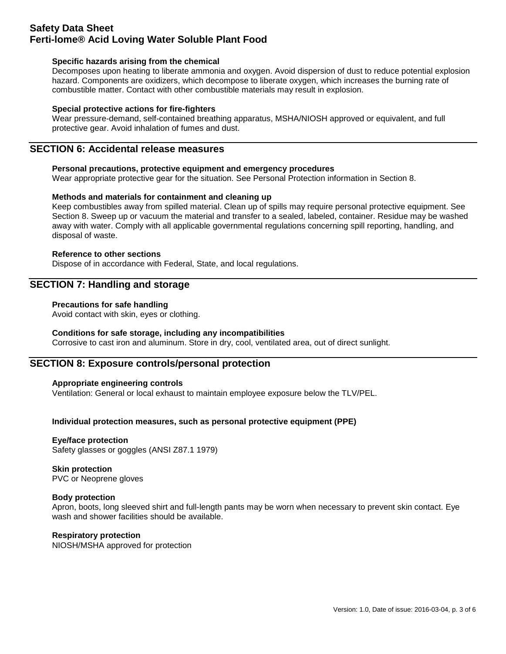# **Safety Data Sheet Ferti-lome® Acid Loving Water Soluble Plant Food**

### **Specific hazards arising from the chemical**

Decomposes upon heating to liberate ammonia and oxygen. Avoid dispersion of dust to reduce potential explosion hazard. Components are oxidizers, which decompose to liberate oxygen, which increases the burning rate of combustible matter. Contact with other combustible materials may result in explosion.

### **Special protective actions for fire-fighters**

Wear pressure-demand, self-contained breathing apparatus, MSHA/NIOSH approved or equivalent, and full protective gear. Avoid inhalation of fumes and dust.

# **SECTION 6: Accidental release measures**

### **Personal precautions, protective equipment and emergency procedures**

Wear appropriate protective gear for the situation. See Personal Protection information in Section 8.

### **Methods and materials for containment and cleaning up**

Keep combustibles away from spilled material. Clean up of spills may require personal protective equipment. See Section 8. Sweep up or vacuum the material and transfer to a sealed, labeled, container. Residue may be washed away with water. Comply with all applicable governmental regulations concerning spill reporting, handling, and disposal of waste.

### **Reference to other sections**

Dispose of in accordance with Federal, State, and local regulations.

# **SECTION 7: Handling and storage**

### **Precautions for safe handling**

Avoid contact with skin, eyes or clothing.

### **Conditions for safe storage, including any incompatibilities**

Corrosive to cast iron and aluminum. Store in dry, cool, ventilated area, out of direct sunlight.

### **SECTION 8: Exposure controls/personal protection**

### **Appropriate engineering controls**

Ventilation: General or local exhaust to maintain employee exposure below the TLV/PEL.

### **Individual protection measures, such as personal protective equipment (PPE)**

#### **Eye/face protection**

Safety glasses or goggles (ANSI Z87.1 1979)

### **Skin protection**

PVC or Neoprene gloves

### **Body protection**

Apron, boots, long sleeved shirt and full-length pants may be worn when necessary to prevent skin contact. Eye wash and shower facilities should be available.

### **Respiratory protection**

NIOSH/MSHA approved for protection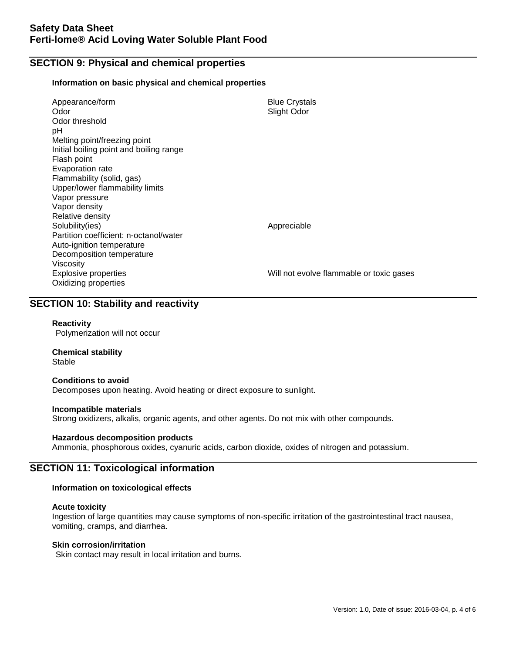# **SECTION 9: Physical and chemical properties**

#### **Information on basic physical and chemical properties**

| Appearance/form<br>Odor<br>Odor threshold<br>рH<br>Melting point/freezing point<br>Initial boiling point and boiling range<br>Flash point<br>Evaporation rate<br>Flammability (solid, gas)<br>Upper/lower flammability limits<br>Vapor pressure<br>Vapor density<br>Relative density | <b>Blue Crystals</b><br>Slight Odor      |
|--------------------------------------------------------------------------------------------------------------------------------------------------------------------------------------------------------------------------------------------------------------------------------------|------------------------------------------|
| Solubility(ies)<br>Partition coefficient: n-octanol/water<br>Auto-ignition temperature<br>Decomposition temperature                                                                                                                                                                  | Appreciable                              |
| Viscosity<br>Explosive properties<br>Oxidizing properties                                                                                                                                                                                                                            | Will not evolve flammable or toxic gases |

# **SECTION 10: Stability and reactivity**

### **Reactivity**

Polymerization will not occur

#### **Chemical stability** Stable

#### **Conditions to avoid**

Decomposes upon heating. Avoid heating or direct exposure to sunlight.

#### **Incompatible materials**

Strong oxidizers, alkalis, organic agents, and other agents. Do not mix with other compounds.

### **Hazardous decomposition products**

Ammonia, phosphorous oxides, cyanuric acids, carbon dioxide, oxides of nitrogen and potassium.

### **SECTION 11: Toxicological information**

### **Information on toxicological effects**

#### **Acute toxicity**

Ingestion of large quantities may cause symptoms of non-specific irritation of the gastrointestinal tract nausea, vomiting, cramps, and diarrhea.

### **Skin corrosion/irritation**

Skin contact may result in local irritation and burns.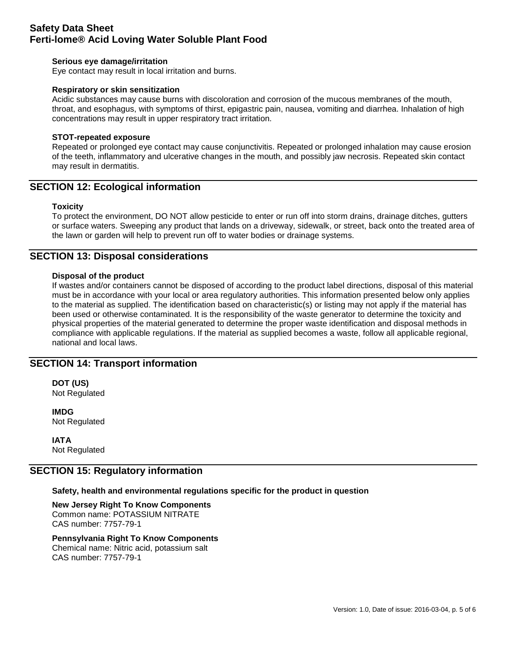# **Safety Data Sheet Ferti-lome® Acid Loving Water Soluble Plant Food**

### **Serious eye damage/irritation**

Eye contact may result in local irritation and burns.

### **Respiratory or skin sensitization**

Acidic substances may cause burns with discoloration and corrosion of the mucous membranes of the mouth, throat, and esophagus, with symptoms of thirst, epigastric pain, nausea, vomiting and diarrhea. Inhalation of high concentrations may result in upper respiratory tract irritation.

### **STOT-repeated exposure**

Repeated or prolonged eye contact may cause conjunctivitis. Repeated or prolonged inhalation may cause erosion of the teeth, inflammatory and ulcerative changes in the mouth, and possibly jaw necrosis. Repeated skin contact may result in dermatitis.

### **SECTION 12: Ecological information**

### **Toxicity**

To protect the environment, DO NOT allow pesticide to enter or run off into storm drains, drainage ditches, gutters or surface waters. Sweeping any product that lands on a driveway, sidewalk, or street, back onto the treated area of the lawn or garden will help to prevent run off to water bodies or drainage systems.

### **SECTION 13: Disposal considerations**

### **Disposal of the product**

If wastes and/or containers cannot be disposed of according to the product label directions, disposal of this material must be in accordance with your local or area regulatory authorities. This information presented below only applies to the material as supplied. The identification based on characteristic(s) or listing may not apply if the material has been used or otherwise contaminated. It is the responsibility of the waste generator to determine the toxicity and physical properties of the material generated to determine the proper waste identification and disposal methods in compliance with applicable regulations. If the material as supplied becomes a waste, follow all applicable regional, national and local laws.

### **SECTION 14: Transport information**

**DOT (US)** Not Regulated

**IMDG** Not Regulated

**IATA** Not Regulated

### **SECTION 15: Regulatory information**

#### **Safety, health and environmental regulations specific for the product in question**

**New Jersey Right To Know Components** Common name: POTASSIUM NITRATE CAS number: 7757-79-1

### **Pennsylvania Right To Know Components**

Chemical name: Nitric acid, potassium salt CAS number: 7757-79-1